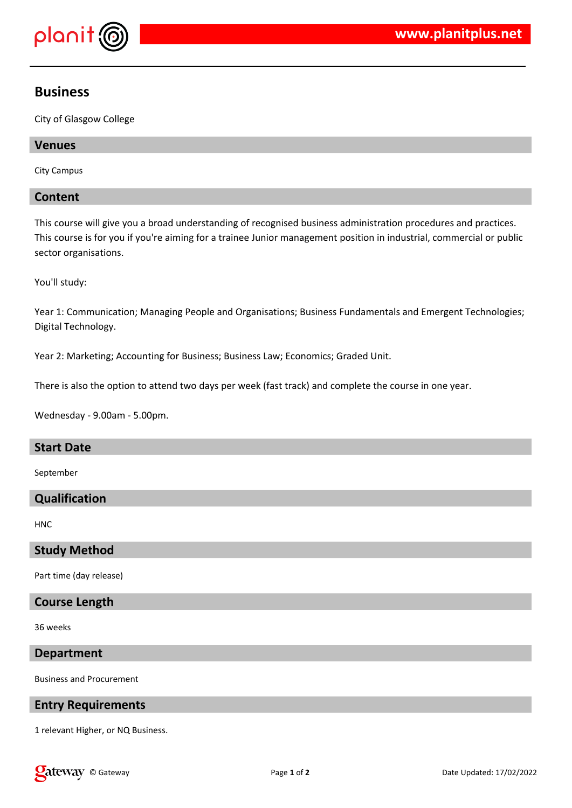

# **Business**

City of Glasgow College

# **Venues**

City Campus

# **Content**

This course will give you a broad understanding of recognised business administration procedures and practices. This course is for you if you're aiming for a trainee Junior management position in industrial, commercial or public sector organisations.

You'll study:

Year 1: Communication; Managing People and Organisations; Business Fundamentals and Emergent Technologies; Digital Technology.

Year 2: Marketing; Accounting for Business; Business Law; Economics; Graded Unit.

There is also the option to attend two days per week (fast track) and complete the course in one year.

Wednesday - 9.00am - 5.00pm.

### **Start Date**

September

## **Qualification**

**HNC** 

### **Study Method**

Part time (day release)

# **Course Length**

36 weeks

### **Department**

Business and Procurement

## **Entry Requirements**

1 relevant Higher, or NQ Business.